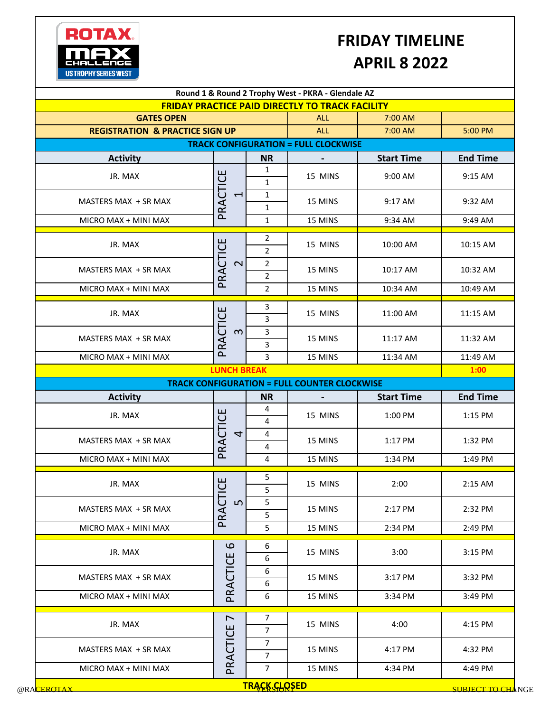

## **FRIDAY TIMELINE APRIL 8 2022**

|                                            |                                      |                                  | <b>FRIDAY PRACTICE PAID DIRECTLY TO TRACK FACILITY</b> |                   |                                                                                                                               |
|--------------------------------------------|--------------------------------------|----------------------------------|--------------------------------------------------------|-------------------|-------------------------------------------------------------------------------------------------------------------------------|
| <b>GATES OPEN</b>                          |                                      |                                  | <b>ALL</b>                                             | 7:00 AM           |                                                                                                                               |
| <b>REGISTRATION &amp; PRACTICE SIGN UP</b> | <b>ALL</b>                           | 7:00 AM                          | 5:00 PM                                                |                   |                                                                                                                               |
|                                            |                                      |                                  | <b>TRACK CONFIGURATION = FULL CLOCKWISE</b>            |                   |                                                                                                                               |
| <b>Activity</b>                            |                                      | <b>NR</b>                        |                                                        | <b>Start Time</b> | <b>End Time</b>                                                                                                               |
| JR. MAX                                    |                                      | $\mathbf{1}$<br>$\mathbf{1}$     | 15 MINS                                                | 9:00 AM           | 9:15 AM                                                                                                                       |
| MASTERS MAX + SR MAX                       | PRACTICE<br>$\overline{\phantom{0}}$ | $\mathbf{1}$<br>$\mathbf{1}$     | 15 MINS                                                | 9:17 AM           | 9:32 AM                                                                                                                       |
| MICRO MAX + MINI MAX                       |                                      | $\mathbf{1}$                     | 15 MINS                                                | 9:34 AM           | 9:49 AM                                                                                                                       |
| JR. MAX                                    |                                      | $\overline{2}$<br>$\overline{2}$ | 15 MINS                                                | 10:00 AM          | 10:15 AM                                                                                                                      |
| MASTERS MAX + SR MAX                       | PRACTICE<br>$\overline{\mathsf{C}}$  | $\overline{2}$<br>$\overline{2}$ | 15 MINS                                                | 10:17 AM          | 10:32 AM                                                                                                                      |
| MICRO MAX + MINI MAX                       |                                      | $\overline{2}$                   | 15 MINS                                                | 10:34 AM          | 10:49 AM                                                                                                                      |
| JR. MAX                                    |                                      | 3<br>3                           | 15 MINS                                                | 11:00 AM          | 11:15 AM                                                                                                                      |
| MASTERS MAX + SR MAX                       | PRACTICE<br>$\boldsymbol{\infty}$    | $\mathbf{3}$<br>3                | 15 MINS                                                | 11:17 AM          | 11:32 AM                                                                                                                      |
| MICRO MAX + MINI MAX                       |                                      | 3                                | 15 MINS                                                | 11:34 AM          | 11:49 AM                                                                                                                      |
|                                            | <b>LUNCH BREAK</b>                   |                                  |                                                        |                   | 1:00                                                                                                                          |
|                                            |                                      |                                  |                                                        |                   |                                                                                                                               |
|                                            |                                      |                                  | <b>TRACK CONFIGURATION = FULL COUNTER CLOCKWISE</b>    |                   |                                                                                                                               |
| <b>Activity</b>                            |                                      | <b>NR</b>                        |                                                        | <b>Start Time</b> |                                                                                                                               |
| JR. MAX                                    |                                      | 4<br>4                           | 15 MINS                                                | 1:00 PM           |                                                                                                                               |
| MASTERS MAX + SR MAX                       | 4                                    | 4<br>4                           | 15 MINS                                                | 1:17 PM           |                                                                                                                               |
| MICRO MAX + MINI MAX                       | PRACTICE                             | 4                                | 15 MINS                                                | 1:34 PM           | 1:15 PM                                                                                                                       |
| JR. MAX                                    |                                      | 5<br>5                           | 15 MINS                                                | 2:00              |                                                                                                                               |
| MASTERS MAX + SR MAX                       | $\mathsf{L}\Omega$                   | 5<br>5                           | 15 MINS                                                | 2:17 PM           |                                                                                                                               |
| MICRO MAX + MINI MAX                       | PRACTICE                             | 5                                | 15 MINS                                                | 2:34 PM           |                                                                                                                               |
| JR. MAX                                    | $\mathbf{\Omega}$                    | 6<br>6                           | 15 MINS                                                | 3:00              |                                                                                                                               |
| MASTERS MAX + SR MAX                       |                                      | 6<br>6                           | 15 MINS                                                | 3:17 PM           |                                                                                                                               |
| MICRO MAX + MINI MAX                       | PRACTICE                             | 6                                | 15 MINS                                                | 3:34 PM           |                                                                                                                               |
| JR. MAX                                    | $\overline{\phantom{0}}$             | $\overline{7}$<br>$\overline{7}$ | 15 MINS                                                | 4:00              |                                                                                                                               |
| MASTERS MAX + SR MAX                       | PRACTICE                             | $\overline{7}$<br>$\overline{7}$ | 15 MINS                                                | 4:17 PM           | <b>End Time</b><br>1:32 PM<br>1:49 PM<br>2:15 AM<br>2:32 PM<br>2:49 PM<br>3:15 PM<br>3:32 PM<br>3:49 PM<br>4:15 PM<br>4:32 PM |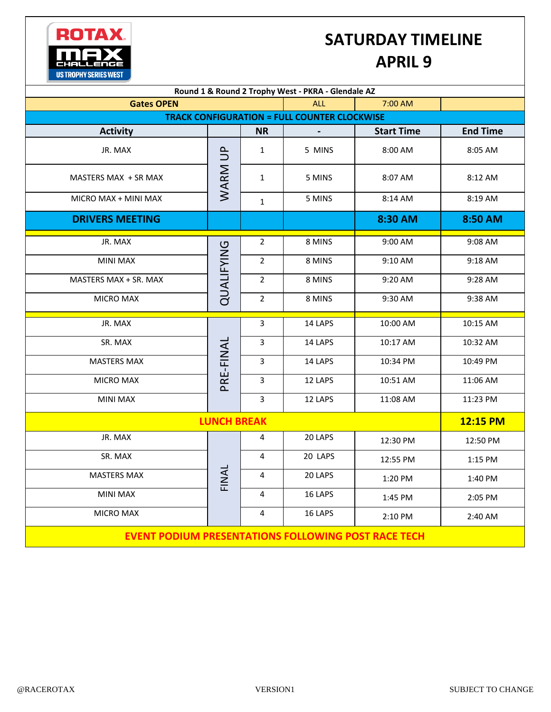## **SATURDAY TIMELINE APRIL 9**

| Round 1 & Round 2 Trophy West - PKRA - Glendale AZ         |              |                |         |                   |                 |  |  |  |  |
|------------------------------------------------------------|--------------|----------------|---------|-------------------|-----------------|--|--|--|--|
| <b>Gates OPEN</b>                                          |              | <b>ALL</b>     | 7:00 AM |                   |                 |  |  |  |  |
| <b>TRACK CONFIGURATION = FULL COUNTER CLOCKWISE</b>        |              |                |         |                   |                 |  |  |  |  |
| <b>Activity</b>                                            |              | <b>NR</b>      |         | <b>Start Time</b> | <b>End Time</b> |  |  |  |  |
| JR. MAX                                                    | WARM UP      | $\mathbf{1}$   | 5 MINS  | 8:00 AM           | 8:05 AM         |  |  |  |  |
| MASTERS MAX + SR MAX                                       |              | $\mathbf{1}$   | 5 MINS  | 8:07 AM           | 8:12 AM         |  |  |  |  |
| MICRO MAX + MINI MAX                                       |              | $\mathbf{1}$   | 5 MINS  | 8:14 AM           | 8:19 AM         |  |  |  |  |
| <b>DRIVERS MEETING</b>                                     |              |                |         | 8:30 AM           | 8:50 AM         |  |  |  |  |
| JR. MAX                                                    | QUALIFYING   | $\overline{2}$ | 8 MINS  | 9:00 AM           | 9:08 AM         |  |  |  |  |
| <b>MINI MAX</b>                                            |              | $\overline{2}$ | 8 MINS  | 9:10 AM           | 9:18 AM         |  |  |  |  |
| MASTERS MAX + SR. MAX                                      |              | $\overline{2}$ | 8 MINS  | 9:20 AM           | 9:28 AM         |  |  |  |  |
| <b>MICRO MAX</b>                                           |              | $\overline{2}$ | 8 MINS  | 9:30 AM           | 9:38 AM         |  |  |  |  |
| JR. MAX                                                    |              | 3              | 14 LAPS | 10:00 AM          | 10:15 AM        |  |  |  |  |
| SR. MAX                                                    | PRE-FINAL    | 3              | 14 LAPS | 10:17 AM          | 10:32 AM        |  |  |  |  |
| <b>MASTERS MAX</b>                                         |              | 3              | 14 LAPS | 10:34 PM          | 10:49 PM        |  |  |  |  |
| MICRO MAX                                                  |              | 3              | 12 LAPS | 10:51 AM          | 11:06 AM        |  |  |  |  |
| <b>MINI MAX</b>                                            |              | 3              | 12 LAPS | 11:08 AM          | 11:23 PM        |  |  |  |  |
| <b>LUNCH BREAK</b>                                         | 12:15 PM     |                |         |                   |                 |  |  |  |  |
| JR. MAX                                                    | <b>FINAL</b> | 4              | 20 LAPS | 12:30 PM          | 12:50 PM        |  |  |  |  |
| SR. MAX                                                    |              | 4              | 20 LAPS | 12:55 PM          | 1:15 PM         |  |  |  |  |
| <b>MASTERS MAX</b>                                         |              | 4              | 20 LAPS | 1:20 PM           | 1:40 PM         |  |  |  |  |
| <b>MINI MAX</b>                                            |              | 4              | 16 LAPS | 1:45 PM           | 2:05 PM         |  |  |  |  |
| <b>MICRO MAX</b>                                           |              | 4              | 16 LAPS | 2:10 PM           | 2:40 AM         |  |  |  |  |
| <b>EVENT PODIUM PRESENTATIONS FOLLOWING POST RACE TECH</b> |              |                |         |                   |                 |  |  |  |  |

**ROTAX** 

**US TROPHY SERIES WEST** 

ma